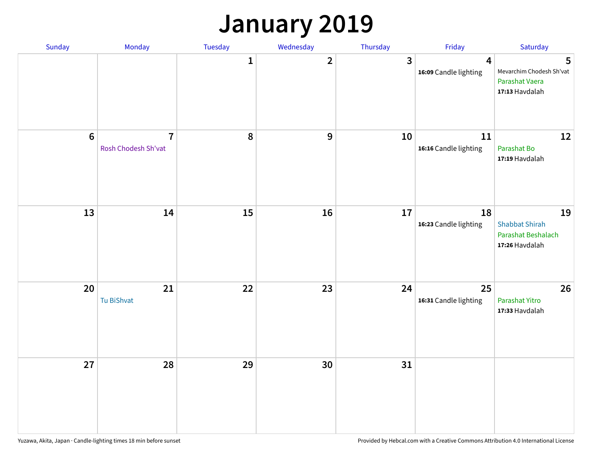### **January 2019**

| Sunday           | Monday                                | Tuesday      | Wednesday      | Thursday                | Friday                      | Saturday                                                            |
|------------------|---------------------------------------|--------------|----------------|-------------------------|-----------------------------|---------------------------------------------------------------------|
|                  |                                       | $\mathbf{1}$ | $\overline{2}$ | $\overline{\mathbf{3}}$ | 4<br>16:09 Candle lighting  | 5<br>Mevarchim Chodesh Sh'vat<br>Parashat Vaera<br>17:13 Havdalah   |
| $\boldsymbol{6}$ | $\overline{7}$<br>Rosh Chodesh Sh'vat | 8            | 9              | 10                      | 11<br>16:16 Candle lighting | 12<br>Parashat Bo<br>17:19 Havdalah                                 |
| 13               | 14                                    | 15           | 16             | 17                      | 18<br>16:23 Candle lighting | 19<br><b>Shabbat Shirah</b><br>Parashat Beshalach<br>17:26 Havdalah |
| 20               | 21<br>Tu BiShvat                      | 22           | 23             | 24                      | 25<br>16:31 Candle lighting | 26<br>Parashat Yitro<br>17:33 Havdalah                              |
| 27               | 28                                    | 29           | 30             | 31                      |                             |                                                                     |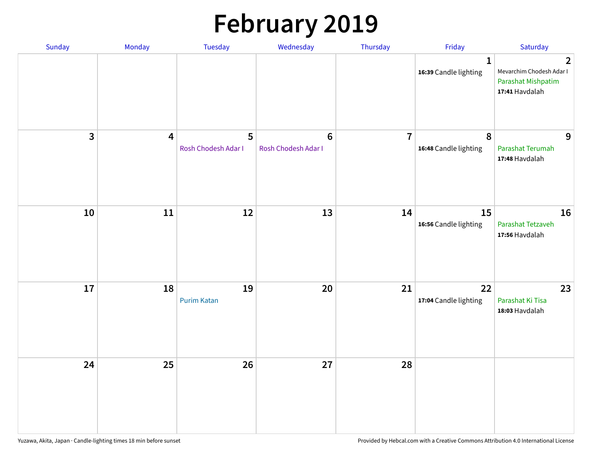# **February 2019**

| Sunday | Monday                  | Tuesday                  | Wednesday                             | Thursday       | Friday                                | Saturday                                                                           |
|--------|-------------------------|--------------------------|---------------------------------------|----------------|---------------------------------------|------------------------------------------------------------------------------------|
|        |                         |                          |                                       |                | $\mathbf{1}$<br>16:39 Candle lighting | $\overline{2}$<br>Mevarchim Chodesh Adar I<br>Parashat Mishpatim<br>17:41 Havdalah |
| 3      | $\overline{\mathbf{4}}$ | 5<br>Rosh Chodesh Adar I | $6\phantom{1}$<br>Rosh Chodesh Adar I | $\overline{7}$ | $\pmb{8}$<br>16:48 Candle lighting    | 9<br>Parashat Terumah<br>17:48 Havdalah                                            |
| 10     | 11                      | 12                       | 13                                    | 14             | 15<br>16:56 Candle lighting           | 16<br>Parashat Tetzaveh<br>17:56 Havdalah                                          |
| 17     | 18                      | 19<br><b>Purim Katan</b> | 20                                    | 21             | 22<br>17:04 Candle lighting           | 23<br>Parashat Ki Tisa<br>18:03 Havdalah                                           |
| 24     | 25                      | 26                       | 27                                    | 28             |                                       |                                                                                    |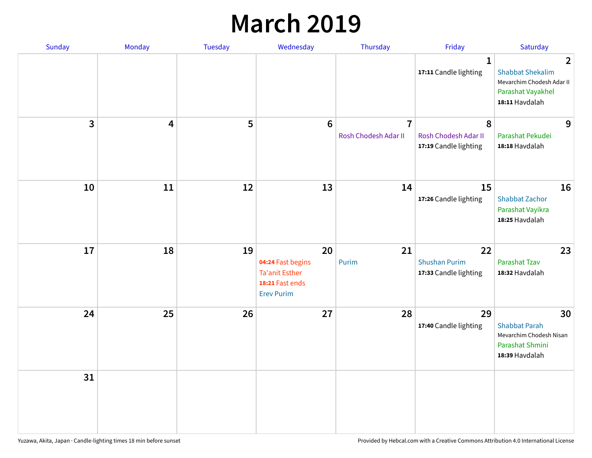### **March 2019**

| Sunday       | Monday | Tuesday | Wednesday                                                                                | Thursday                               | Friday                                              | Saturday                                                                                                      |
|--------------|--------|---------|------------------------------------------------------------------------------------------|----------------------------------------|-----------------------------------------------------|---------------------------------------------------------------------------------------------------------------|
|              |        |         |                                                                                          |                                        | $\mathbf{1}$<br>17:11 Candle lighting               | $\overline{2}$<br><b>Shabbat Shekalim</b><br>Mevarchim Chodesh Adar II<br>Parashat Vayakhel<br>18:11 Havdalah |
| $\mathbf{3}$ | 4      | 5       | $6\phantom{1}6$                                                                          | $\overline{7}$<br>Rosh Chodesh Adar II | 8<br>Rosh Chodesh Adar II<br>17:19 Candle lighting  | 9<br>Parashat Pekudei<br>18:18 Havdalah                                                                       |
| 10           | 11     | 12      | 13                                                                                       | 14                                     | 15<br>17:26 Candle lighting                         | 16<br><b>Shabbat Zachor</b><br>Parashat Vayikra<br>18:25 Havdalah                                             |
| 17           | 18     | 19      | 20<br>04:24 Fast begins<br><b>Ta'anit Esther</b><br>18:21 Fast ends<br><b>Erev Purim</b> | 21<br>Purim                            | 22<br><b>Shushan Purim</b><br>17:33 Candle lighting | 23<br><b>Parashat Tzav</b><br>18:32 Havdalah                                                                  |
| 24           | 25     | 26      | 27                                                                                       | 28                                     | 29<br>17:40 Candle lighting                         | 30<br><b>Shabbat Parah</b><br>Mevarchim Chodesh Nisan<br>Parashat Shmini<br>18:39 Havdalah                    |
| 31           |        |         |                                                                                          |                                        |                                                     |                                                                                                               |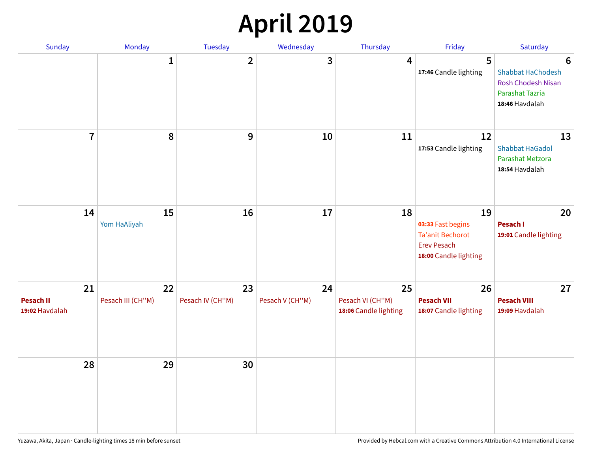## **April 2019**

| Sunday                                   | Monday                  | Tuesday                | Wednesday             | Thursday                                        | Friday                                                                                            | Saturday                                                                                 |
|------------------------------------------|-------------------------|------------------------|-----------------------|-------------------------------------------------|---------------------------------------------------------------------------------------------------|------------------------------------------------------------------------------------------|
|                                          | $\mathbf{1}$            | $\overline{2}$         | 3                     | 4                                               | 5<br>17:46 Candle lighting                                                                        | 6<br>Shabbat HaChodesh<br><b>Rosh Chodesh Nisan</b><br>Parashat Tazria<br>18:46 Havdalah |
| $\overline{7}$                           | 8                       | $\boldsymbol{9}$       | 10                    | 11                                              | 12<br>17:53 Candle lighting                                                                       | 13<br><b>Shabbat HaGadol</b><br>Parashat Metzora<br>18:54 Havdalah                       |
| 14                                       | 15<br>Yom HaAliyah      | 16                     | 17                    | 18                                              | 19<br>03:33 Fast begins<br><b>Ta'anit Bechorot</b><br><b>Erev Pesach</b><br>18:00 Candle lighting | 20<br>Pesach I<br>19:01 Candle lighting                                                  |
| 21<br><b>Pesach II</b><br>19:02 Havdalah | 22<br>Pesach III (CH"M) | 23<br>Pesach IV (CH"M) | 24<br>Pesach V (CH"M) | 25<br>Pesach VI (CH"M)<br>18:06 Candle lighting | 26<br><b>Pesach VII</b><br>18:07 Candle lighting                                                  | 27<br><b>Pesach VIII</b><br>19:09 Havdalah                                               |
| 28                                       | 29                      | 30                     |                       |                                                 |                                                                                                   |                                                                                          |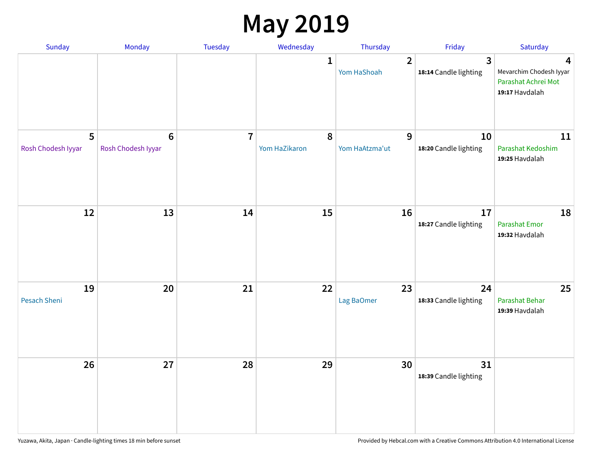### **May 2019**

| Sunday                    | Monday                      | Tuesday        | Wednesday                  | Thursday                      | Friday                                           | Saturday                                                              |
|---------------------------|-----------------------------|----------------|----------------------------|-------------------------------|--------------------------------------------------|-----------------------------------------------------------------------|
|                           |                             |                | 1                          | $\overline{2}$<br>Yom HaShoah | $\overline{\mathbf{3}}$<br>18:14 Candle lighting | 4<br>Mevarchim Chodesh Iyyar<br>Parashat Achrei Mot<br>19:17 Havdalah |
| 5<br>Rosh Chodesh Iyyar   | $6\,$<br>Rosh Chodesh Iyyar | $\overline{7}$ | $\pmb{8}$<br>Yom HaZikaron | 9<br>Yom HaAtzma'ut           | 10<br>18:20 Candle lighting                      | 11<br>Parashat Kedoshim<br>19:25 Havdalah                             |
| 12                        | 13                          | 14             | 15                         | 16                            | 17<br>18:27 Candle lighting                      | 18<br>Parashat Emor<br>19:32 Havdalah                                 |
| 19<br><b>Pesach Sheni</b> | 20                          | 21             | 22                         | 23<br>Lag BaOmer              | 24<br>18:33 Candle lighting                      | 25<br>Parashat Behar<br>19:39 Havdalah                                |
| 26                        | 27                          | 28             | 29                         | 30                            | 31<br>18:39 Candle lighting                      |                                                                       |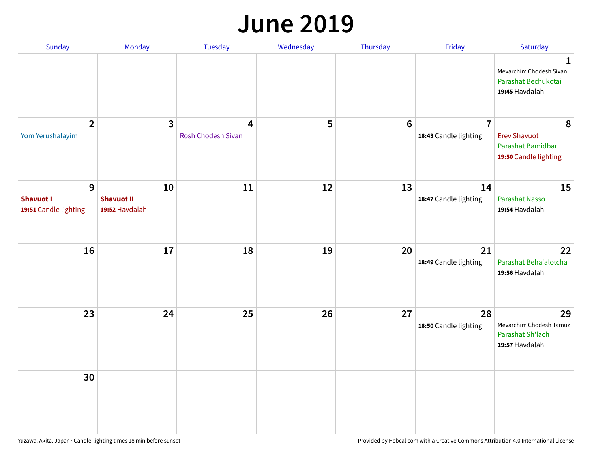#### **June 2019**

| Sunday                                         | Monday                                    | Tuesday                 | Wednesday | Thursday        | Friday                                  | Saturday                                                               |
|------------------------------------------------|-------------------------------------------|-------------------------|-----------|-----------------|-----------------------------------------|------------------------------------------------------------------------|
|                                                |                                           |                         |           |                 |                                         | 1<br>Mevarchim Chodesh Sivan<br>Parashat Bechukotai<br>19:45 Havdalah  |
| $\overline{2}$<br>Yom Yerushalayim             | $\mathbf{3}$                              | 4<br>Rosh Chodesh Sivan | 5         | $6\phantom{1}6$ | $\overline{7}$<br>18:43 Candle lighting | 8<br><b>Erev Shavuot</b><br>Parashat Bamidbar<br>19:50 Candle lighting |
| 9<br><b>Shavuot I</b><br>19:51 Candle lighting | 10<br><b>Shavuot II</b><br>19:52 Havdalah | 11                      | 12        | 13              | 14<br>18:47 Candle lighting             | 15<br><b>Parashat Nasso</b><br>19:54 Havdalah                          |
| 16                                             | 17                                        | 18                      | 19        | 20              | 21<br>18:49 Candle lighting             | 22<br>Parashat Beha'alotcha<br>19:56 Havdalah                          |
| 23                                             | 24                                        | 25                      | 26        | 27              | 28<br>18:50 Candle lighting             | 29<br>Mevarchim Chodesh Tamuz<br>Parashat Sh'lach<br>19:57 Havdalah    |
| 30                                             |                                           |                         |           |                 |                                         |                                                                        |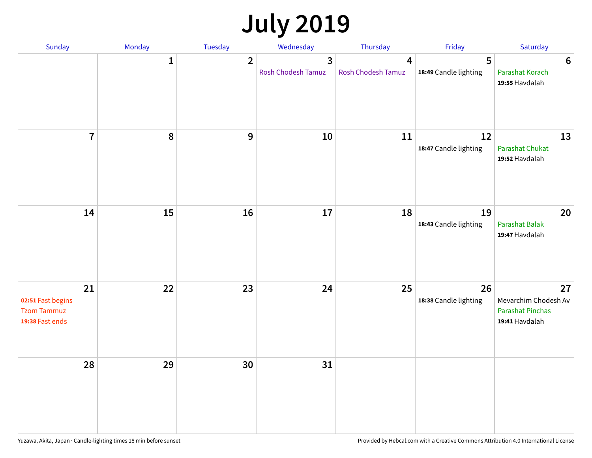# **July 2019**

| Sunday                                                           | Monday       | Tuesday        | Wednesday                                   | Thursday                             | Friday                      | Saturday                                                                |
|------------------------------------------------------------------|--------------|----------------|---------------------------------------------|--------------------------------------|-----------------------------|-------------------------------------------------------------------------|
|                                                                  | $\mathbf{1}$ | $\overline{2}$ | $\overline{3}$<br><b>Rosh Chodesh Tamuz</b> | $\overline{4}$<br>Rosh Chodesh Tamuz | 5<br>18:49 Candle lighting  | $6\phantom{1}6$<br>Parashat Korach<br>19:55 Havdalah                    |
| $\overline{7}$                                                   | 8            | $\overline{9}$ | 10                                          | 11                                   | 12<br>18:47 Candle lighting | 13<br><b>Parashat Chukat</b><br>19:52 Havdalah                          |
| 14                                                               | 15           | 16             | 17                                          | 18                                   | 19<br>18:43 Candle lighting | 20<br>Parashat Balak<br>19:47 Havdalah                                  |
| 21<br>02:51 Fast begins<br><b>Tzom Tammuz</b><br>19:38 Fast ends | 22           | 23             | 24                                          | 25                                   | 26<br>18:38 Candle lighting | 27<br>Mevarchim Chodesh Av<br><b>Parashat Pinchas</b><br>19:41 Havdalah |
| 28                                                               | 29           | 30             | 31                                          |                                      |                             |                                                                         |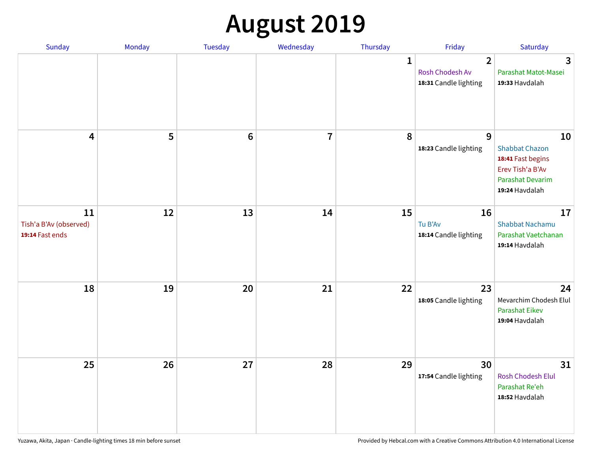# **August 2019**

| Sunday                                          | Monday | Tuesday         | Wednesday      | Thursday     | Friday                                                     | Saturday                                                                                                          |
|-------------------------------------------------|--------|-----------------|----------------|--------------|------------------------------------------------------------|-------------------------------------------------------------------------------------------------------------------|
|                                                 |        |                 |                | $\mathbf{1}$ | $\overline{2}$<br>Rosh Chodesh Av<br>18:31 Candle lighting | $\overline{3}$<br>Parashat Matot-Masei<br>19:33 Havdalah                                                          |
| $\overline{\mathbf{4}}$                         | 5      | $6\phantom{1}6$ | $\overline{7}$ | 8            | $\mathbf{9}$<br>18:23 Candle lighting                      | 10<br><b>Shabbat Chazon</b><br>18:41 Fast begins<br>Erev Tish'a B'Av<br><b>Parashat Devarim</b><br>19:24 Havdalah |
| 11<br>Tish'a B'Av (observed)<br>19:14 Fast ends | 12     | 13              | 14             | 15           | 16<br>Tu B'Av<br>18:14 Candle lighting                     | 17<br><b>Shabbat Nachamu</b><br>Parashat Vaetchanan<br>19:14 Havdalah                                             |
| 18                                              | 19     | 20              | 21             | 22           | 23<br>18:05 Candle lighting                                | 24<br>Mevarchim Chodesh Elul<br><b>Parashat Eikev</b><br>19:04 Havdalah                                           |
| 25                                              | 26     | 27              | 28             | 29           | 30<br>17:54 Candle lighting                                | 31<br>Rosh Chodesh Elul<br>Parashat Re'eh<br>18:52 Havdalah                                                       |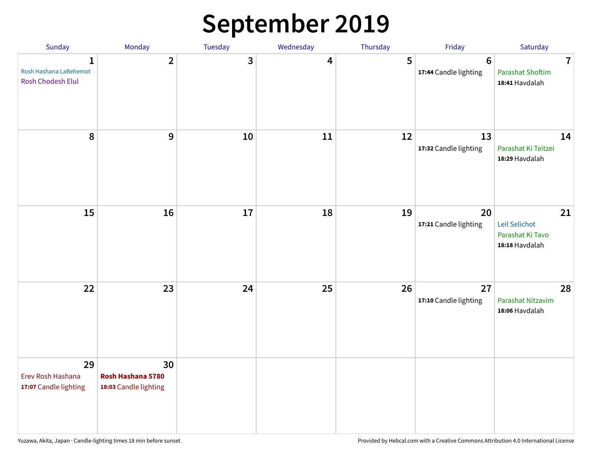## **September 2019**

| Sunday                                                      | Monday                                           | Tuesday | Wednesday | Thursday | Friday                                  | Saturday                                                             |
|-------------------------------------------------------------|--------------------------------------------------|---------|-----------|----------|-----------------------------------------|----------------------------------------------------------------------|
| $\mathbf{1}$<br>Rosh Hashana LaBehemot<br>Rosh Chodesh Elul | $\overline{2}$                                   | 3       | 4         | 5        | $6\phantom{1}$<br>17:44 Candle lighting | $\overline{\mathbf{7}}$<br><b>Parashat Shoftim</b><br>18:41 Havdalah |
| 8                                                           | 9                                                | $10\,$  | 11        | 12       | 13<br>17:32 Candle lighting             | 14<br>Parashat Ki Teitzei<br>18:29 Havdalah                          |
| 15                                                          | 16                                               | 17      | 18        | 19       | 20<br>17:21 Candle lighting             | 21<br>Leil Selichot<br>Parashat Ki Tavo<br>18:18 Havdalah            |
| 22                                                          | 23                                               | 24      | 25        | 26       | 27<br>17:10 Candle lighting             | 28<br>Parashat Nitzavim<br>18:06 Havdalah                            |
| 29<br>Erev Rosh Hashana<br>17:07 Candle lighting            | 30<br>Rosh Hashana 5780<br>18:03 Candle lighting |         |           |          |                                         |                                                                      |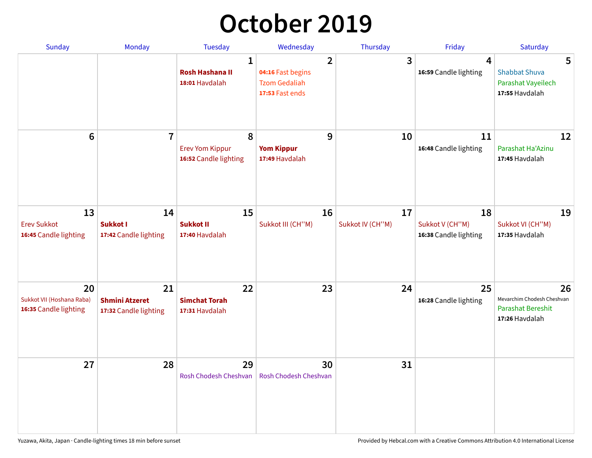## **October 2019**

| <b>Sunday</b>                                            | Monday                                               | <b>Tuesday</b>                                           | Wednesday                                                                      | Thursday               | Friday                                         | Saturday                                                                       |
|----------------------------------------------------------|------------------------------------------------------|----------------------------------------------------------|--------------------------------------------------------------------------------|------------------------|------------------------------------------------|--------------------------------------------------------------------------------|
|                                                          |                                                      | $\mathbf{1}$<br><b>Rosh Hashana II</b><br>18:01 Havdalah | $\overline{2}$<br>04:16 Fast begins<br><b>Tzom Gedaliah</b><br>17:53 Fast ends | 3                      | 4<br>16:59 Candle lighting                     | 5<br><b>Shabbat Shuva</b><br>Parashat Vayeilech<br>17:55 Havdalah              |
| $6\phantom{1}$                                           | $\overline{7}$                                       | 8<br><b>Erev Yom Kippur</b><br>16:52 Candle lighting     | 9<br><b>Yom Kippur</b><br>17:49 Havdalah                                       | 10                     | 11<br>16:48 Candle lighting                    | 12<br>Parashat Ha'Azinu<br>17:45 Havdalah                                      |
| 13<br><b>Erev Sukkot</b><br>16:45 Candle lighting        | 14<br>Sukkot I<br>17:42 Candle lighting              | 15<br><b>Sukkot II</b><br>17:40 Havdalah                 | 16<br>Sukkot III (CH"M)                                                        | 17<br>Sukkot IV (CH"M) | 18<br>Sukkot V (CH"M)<br>16:38 Candle lighting | 19<br>Sukkot VI (CH"M)<br>17:35 Havdalah                                       |
| 20<br>Sukkot VII (Hoshana Raba)<br>16:35 Candle lighting | 21<br><b>Shmini Atzeret</b><br>17:32 Candle lighting | 22<br><b>Simchat Torah</b><br>17:31 Havdalah             | 23                                                                             | 24                     | 25<br>16:28 Candle lighting                    | 26<br>Mevarchim Chodesh Cheshvan<br><b>Parashat Bereshit</b><br>17:26 Havdalah |
| 27                                                       | 28                                                   | 29<br>Rosh Chodesh Cheshvan                              | 30<br>Rosh Chodesh Cheshvan                                                    | 31                     |                                                |                                                                                |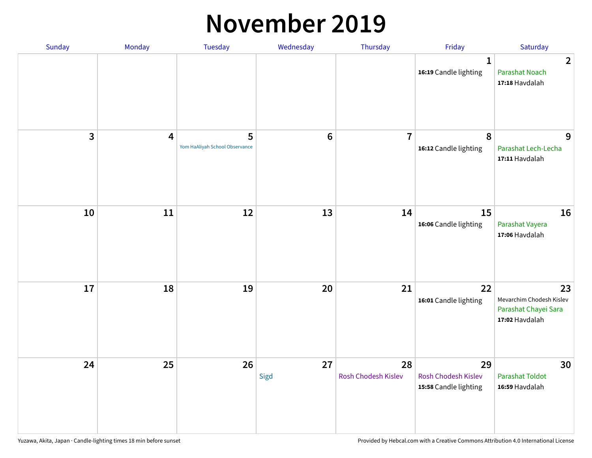#### **November 2019**

| Sunday | Monday                  | Tuesday                             | Wednesday  | Thursday                  | Friday                                             | Saturday                                                                 |
|--------|-------------------------|-------------------------------------|------------|---------------------------|----------------------------------------------------|--------------------------------------------------------------------------|
|        |                         |                                     |            |                           | $\mathbf{1}$<br>16:19 Candle lighting              | $\overline{2}$<br><b>Parashat Noach</b><br>17:18 Havdalah                |
| 3      | $\overline{\mathbf{4}}$ | 5<br>Yom HaAliyah School Observance | $\bf 6$    | $\overline{7}$            | $\boldsymbol{8}$<br>16:12 Candle lighting          | 9<br>Parashat Lech-Lecha<br>17:11 Havdalah                               |
| 10     | $11\,$                  | 12                                  | 13         | 14                        | 15<br>16:06 Candle lighting                        | 16<br>Parashat Vayera<br>17:06 Havdalah                                  |
| 17     | 18                      | 19                                  | 20         | 21                        | 22<br>16:01 Candle lighting                        | 23<br>Mevarchim Chodesh Kislev<br>Parashat Chayei Sara<br>17:02 Havdalah |
| 24     | 25                      | 26                                  | 27<br>Sigd | 28<br>Rosh Chodesh Kislev | 29<br>Rosh Chodesh Kislev<br>15:58 Candle lighting | 30<br><b>Parashat Toldot</b><br>16:59 Havdalah                           |